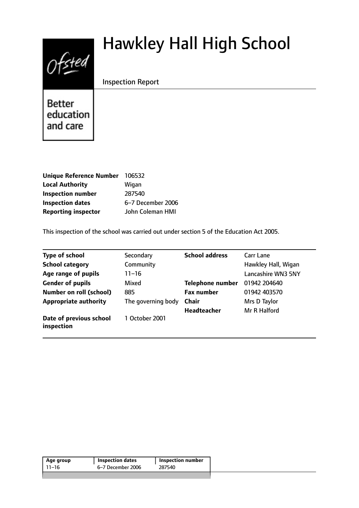# $0$ fsted

# Hawkley Hall High School

Inspection Report

**Better** education and care

| 106532            |
|-------------------|
| Wigan             |
| 287540            |
| 6-7 December 2006 |
| John Coleman HMI  |
|                   |

This inspection of the school was carried out under section 5 of the Education Act 2005.

| <b>Type of school</b>                 | Secondary          | <b>School address</b>   | Carr Lane                 |
|---------------------------------------|--------------------|-------------------------|---------------------------|
| <b>School category</b>                | Community          |                         | Hawkley Hall, Wigan       |
| Age range of pupils                   | 11–16              |                         | <b>Lancashire WN3 5NY</b> |
| <b>Gender of pupils</b>               | Mixed              | <b>Telephone number</b> | 01942 204640              |
| <b>Number on roll (school)</b>        | 885                | <b>Fax number</b>       | 01942 403570              |
| <b>Appropriate authority</b>          | The governing body | <b>Chair</b>            | Mrs D Taylor              |
|                                       |                    | <b>Headteacher</b>      | Mr R Halford              |
| Date of previous school<br>inspection | 1 October 2001     |                         |                           |

|       | <b>Inspection dates</b> | <b>Inspection number</b> |
|-------|-------------------------|--------------------------|
| 11–16 | 6–7 December 2006       | 287540                   |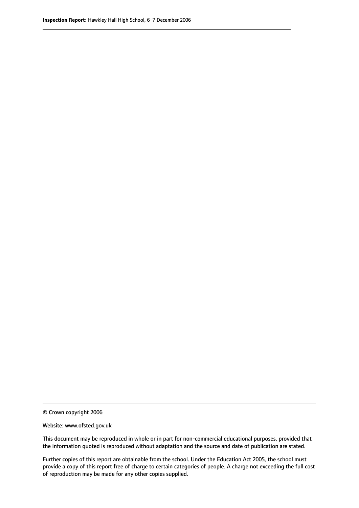© Crown copyright 2006

Website: www.ofsted.gov.uk

This document may be reproduced in whole or in part for non-commercial educational purposes, provided that the information quoted is reproduced without adaptation and the source and date of publication are stated.

Further copies of this report are obtainable from the school. Under the Education Act 2005, the school must provide a copy of this report free of charge to certain categories of people. A charge not exceeding the full cost of reproduction may be made for any other copies supplied.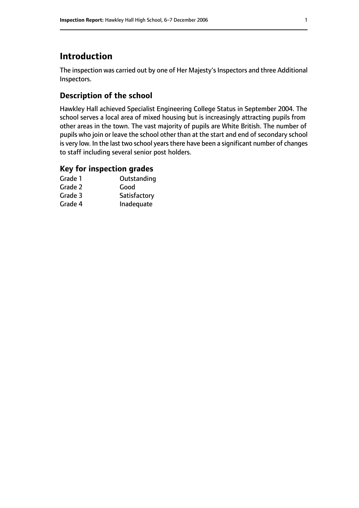# **Introduction**

The inspection was carried out by one of Her Majesty's Inspectors and three Additional Inspectors.

# **Description of the school**

Hawkley Hall achieved Specialist Engineering College Status in September 2004. The school serves a local area of mixed housing but is increasingly attracting pupils from other areas in the town. The vast majority of pupils are White British. The number of pupils who join or leave the school other than at the start and end of secondary school is very low. In the last two school years there have been a significant number of changes to staff including several senior post holders.

#### **Key for inspection grades**

| Grade 1 | Outstanding  |
|---------|--------------|
| Grade 2 | Good         |
| Grade 3 | Satisfactory |
| Grade 4 | Inadequate   |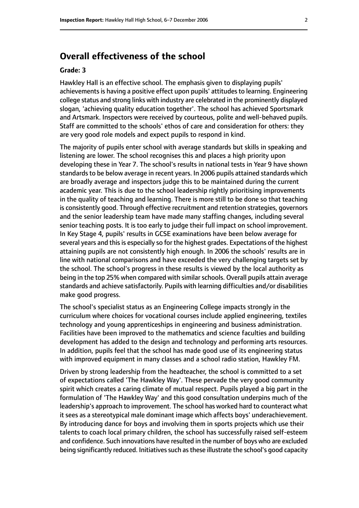# **Overall effectiveness of the school**

#### **Grade: 3**

Hawkley Hall is an effective school. The emphasis given to displaying pupils' achievements is having a positive effect upon pupils' attitudes to learning. Engineering college status and strong links with industry are celebrated in the prominently displayed slogan, 'achieving quality education together'. The school has achieved Sportsmark and Artsmark. Inspectors were received by courteous, polite and well-behaved pupils. Staff are committed to the schools' ethos of care and consideration for others: they are very good role models and expect pupils to respond in kind.

The majority of pupils enter school with average standards but skills in speaking and listening are lower. The school recognises this and places a high priority upon developing these in Year 7. The school's results in national tests in Year 9 have shown standards to be below average in recent years. In 2006 pupils attained standards which are broadly average and inspectors judge this to be maintained during the current academic year. This is due to the school leadership rightly prioritising improvements in the quality of teaching and learning. There is more still to be done so that teaching is consistently good. Through effective recruitment and retention strategies, governors and the senior leadership team have made many staffing changes, including several senior teaching posts. It is too early to judge their full impact on school improvement. In Key Stage 4, pupils' results in GCSE examinations have been below average for several years and this is especially so for the highest grades. Expectations of the highest attaining pupils are not consistently high enough. In 2006 the schools' results are in line with national comparisons and have exceeded the very challenging targets set by the school. The school's progress in these results is viewed by the local authority as being in the top 25% when compared with similar schools. Overall pupils attain average standards and achieve satisfactorily. Pupils with learning difficulties and/or disabilities make good progress.

The school's specialist status as an Engineering College impacts strongly in the curriculum where choices for vocational courses include applied engineering, textiles technology and young apprenticeships in engineering and business administration. Facilities have been improved to the mathematics and science faculties and building development has added to the design and technology and performing arts resources. In addition, pupils feel that the school has made good use of its engineering status with improved equipment in many classes and a school radio station, Hawkley FM.

Driven by strong leadership from the headteacher, the school is committed to a set of expectations called 'The Hawkley Way'. These pervade the very good community spirit which creates a caring climate of mutual respect. Pupils played a big part in the formulation of 'The Hawkley Way' and this good consultation underpins much of the leadership's approach to improvement. The school has worked hard to counteract what it sees as a stereotypical male dominant image which affects boys' underachievement. By introducing dance for boys and involving them in sports projects which use their talents to coach local primary children, the school has successfully raised self-esteem and confidence. Such innovations have resulted in the number of boys who are excluded being significantly reduced. Initiatives such as these illustrate the school's good capacity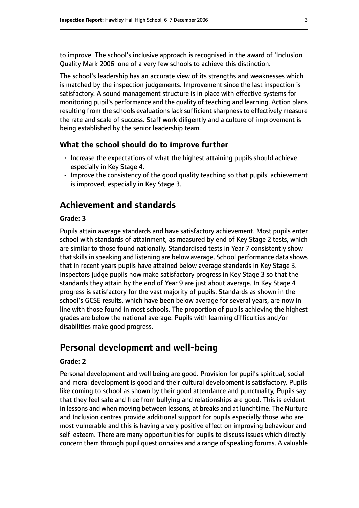to improve. The school's inclusive approach is recognised in the award of 'Inclusion Quality Mark 2006' one of a very few schools to achieve this distinction.

The school's leadership has an accurate view of its strengths and weaknesses which is matched by the inspection judgements. Improvement since the last inspection is satisfactory. A sound management structure is in place with effective systems for monitoring pupil's performance and the quality of teaching and learning. Action plans resulting from the schools evaluations lack sufficient sharpness to effectively measure the rate and scale of success. Staff work diligently and a culture of improvement is being established by the senior leadership team.

#### **What the school should do to improve further**

- Increase the expectations of what the highest attaining pupils should achieve especially in Key Stage 4.
- Improve the consistency of the good quality teaching so that pupils' achievement is improved, especially in Key Stage 3.

# **Achievement and standards**

#### **Grade: 3**

Pupils attain average standards and have satisfactory achievement. Most pupils enter school with standards of attainment, as measured by end of Key Stage 2 tests, which are similar to those found nationally. Standardised tests in Year 7 consistently show that skills in speaking and listening are below average. School performance data shows that in recent years pupils have attained below average standards in Key Stage 3. Inspectors judge pupils now make satisfactory progress in Key Stage 3 so that the standards they attain by the end of Year 9 are just about average. In Key Stage 4 progress is satisfactory for the vast majority of pupils. Standards as shown in the school's GCSE results, which have been below average for several years, are now in line with those found in most schools. The proportion of pupils achieving the highest grades are below the national average. Pupils with learning difficulties and/or disabilities make good progress.

# **Personal development and well-being**

#### **Grade: 2**

Personal development and well being are good. Provision for pupil's spiritual, social and moral development is good and their cultural development is satisfactory. Pupils like coming to school as shown by their good attendance and punctuality, Pupils say that they feel safe and free from bullying and relationships are good. This is evident in lessons and when moving between lessons, at breaks and at lunchtime. The Nurture and Inclusion centres provide additional support for pupils especially those who are most vulnerable and this is having a very positive effect on improving behaviour and self-esteem. There are many opportunities for pupils to discuss issues which directly concern them through pupil questionnaires and a range of speaking forums. A valuable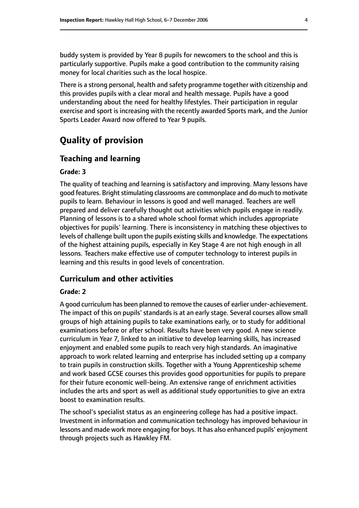buddy system is provided by Year 8 pupils for newcomers to the school and this is particularly supportive. Pupils make a good contribution to the community raising money for local charities such as the local hospice.

There is a strong personal, health and safety programme together with citizenship and this provides pupils with a clear moral and health message. Pupils have a good understanding about the need for healthy lifestyles. Their participation in regular exercise and sport is increasing with the recently awarded Sports mark, and the Junior Sports Leader Award now offered to Year 9 pupils.

# **Quality of provision**

#### **Teaching and learning**

#### **Grade: 3**

The quality of teaching and learning is satisfactory and improving. Many lessons have good features. Bright stimulating classrooms are commonplace and do much to motivate pupils to learn. Behaviour in lessons is good and well managed. Teachers are well prepared and deliver carefully thought out activities which pupils engage in readily. Planning of lessons is to a shared whole school format which includes appropriate objectives for pupils' learning. There is inconsistency in matching these objectives to levels of challenge built upon the pupils existing skills and knowledge. The expectations of the highest attaining pupils, especially in Key Stage 4 are not high enough in all lessons. Teachers make effective use of computer technology to interest pupils in learning and this results in good levels of concentration.

#### **Curriculum and other activities**

#### **Grade: 2**

A good curriculum has been planned to remove the causes of earlier under-achievement. The impact of this on pupils' standards is at an early stage. Several courses allow small groups of high attaining pupils to take examinations early, or to study for additional examinations before or after school. Results have been very good. A new science curriculum in Year 7, linked to an initiative to develop learning skills, has increased enjoyment and enabled some pupils to reach very high standards. An imaginative approach to work related learning and enterprise has included setting up a company to train pupils in construction skills. Together with a Young Apprenticeship scheme and work based GCSE courses this provides good opportunities for pupils to prepare for their future economic well-being. An extensive range of enrichment activities includes the arts and sport as well as additional study opportunities to give an extra boost to examination results.

The school's specialist status as an engineering college has had a positive impact. Investment in information and communication technology has improved behaviour in lessons and made work more engaging for boys. It has also enhanced pupils' enjoyment through projects such as Hawkley FM.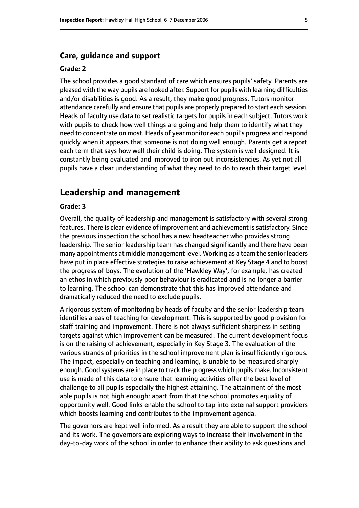#### **Care, guidance and support**

#### **Grade: 2**

The school provides a good standard of care which ensures pupils' safety. Parents are pleased with the way pupils are looked after. Support for pupils with learning difficulties and/or disabilities is good. As a result, they make good progress. Tutors monitor attendance carefully and ensure that pupils are properly prepared to start each session. Heads of faculty use data to set realistic targets for pupils in each subject. Tutors work with pupils to check how well things are going and help them to identify what they need to concentrate on most. Heads of year monitor each pupil's progress and respond quickly when it appears that someone is not doing well enough. Parents get a report each term that says how well their child is doing. The system is well designed. It is constantly being evaluated and improved to iron out inconsistencies. As yet not all pupils have a clear understanding of what they need to do to reach their target level.

### **Leadership and management**

#### **Grade: 3**

Overall, the quality of leadership and management is satisfactory with several strong features. There is clear evidence of improvement and achievement is satisfactory. Since the previous inspection the school has a new headteacher who provides strong leadership. The senior leadership team has changed significantly and there have been many appointments at middle management level. Working as a team the senior leaders have put in place effective strategies to raise achievement at Key Stage 4 and to boost the progress of boys. The evolution of the 'Hawkley Way', for example, has created an ethos in which previously poor behaviour is eradicated and is no longer a barrier to learning. The school can demonstrate that this has improved attendance and dramatically reduced the need to exclude pupils.

A rigorous system of monitoring by heads of faculty and the senior leadership team identifies areas of teaching for development. This is supported by good provision for staff training and improvement. There is not always sufficient sharpness in setting targets against which improvement can be measured. The current development focus is on the raising of achievement, especially in Key Stage 3. The evaluation of the various strands of priorities in the school improvement plan is insufficiently rigorous. The impact, especially on teaching and learning, is unable to be measured sharply enough. Good systems are in place to track the progress which pupils make. Inconsistent use is made of this data to ensure that learning activities offer the best level of challenge to all pupils especially the highest attaining. The attainment of the most able pupils is not high enough: apart from that the school promotes equality of opportunity well. Good links enable the school to tap into external support providers which boosts learning and contributes to the improvement agenda.

The governors are kept well informed. As a result they are able to support the school and its work. The governors are exploring ways to increase their involvement in the day-to-day work of the school in order to enhance their ability to ask questions and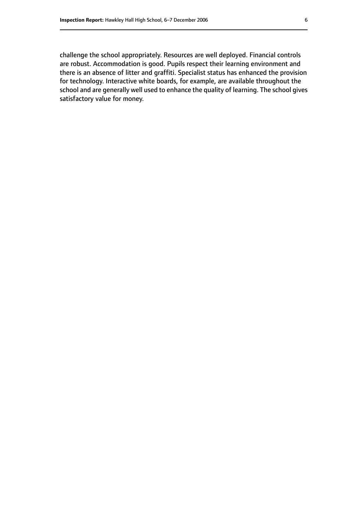challenge the school appropriately. Resources are well deployed. Financial controls are robust. Accommodation is good. Pupils respect their learning environment and there is an absence of litter and graffiti. Specialist status has enhanced the provision for technology. Interactive white boards, for example, are available throughout the school and are generally well used to enhance the quality of learning. The school gives satisfactory value for money.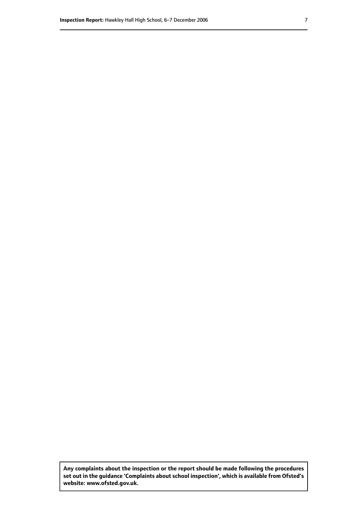**Any complaints about the inspection or the report should be made following the procedures set out inthe guidance 'Complaints about school inspection', whichis available from Ofsted's website: www.ofsted.gov.uk.**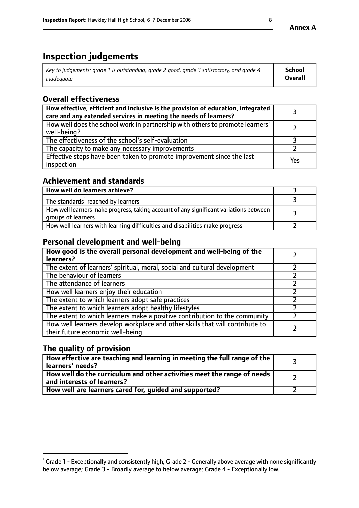# **Inspection judgements**

| Key to judgements: grade 1 is outstanding, grade 2 good, grade 3 satisfactory, and grade 4 | <b>School</b>  |
|--------------------------------------------------------------------------------------------|----------------|
| inadeauate                                                                                 | <b>Overall</b> |

# **Overall effectiveness**

| How effective, efficient and inclusive is the provision of education, integrated<br>care and any extended services in meeting the needs of learners? |     |
|------------------------------------------------------------------------------------------------------------------------------------------------------|-----|
| How well does the school work in partnership with others to promote learners'<br>well-being?                                                         |     |
| The effectiveness of the school's self-evaluation                                                                                                    |     |
| The capacity to make any necessary improvements                                                                                                      |     |
| Effective steps have been taken to promote improvement since the last<br>inspection                                                                  | Yes |

# **Achievement and standards**

| How well do learners achieve?                                                                               |  |
|-------------------------------------------------------------------------------------------------------------|--|
| The standards <sup>1</sup> reached by learners                                                              |  |
| How well learners make progress, taking account of any significant variations between<br>groups of learners |  |
| How well learners with learning difficulties and disabilities make progress                                 |  |

# **Personal development and well-being**

| How good is the overall personal development and well-being of the<br>learners?                                  |  |
|------------------------------------------------------------------------------------------------------------------|--|
| The extent of learners' spiritual, moral, social and cultural development                                        |  |
| The behaviour of learners                                                                                        |  |
| The attendance of learners                                                                                       |  |
| How well learners enjoy their education                                                                          |  |
| The extent to which learners adopt safe practices                                                                |  |
| The extent to which learners adopt healthy lifestyles                                                            |  |
| The extent to which learners make a positive contribution to the community                                       |  |
| How well learners develop workplace and other skills that will contribute to<br>their future economic well-being |  |

# **The quality of provision**

| How effective are teaching and learning in meeting the full range of the<br>learners' needs?                        |  |
|---------------------------------------------------------------------------------------------------------------------|--|
| $\mid$ How well do the curriculum and other activities meet the range of needs $\mid$<br>and interests of learners? |  |
| How well are learners cared for, guided and supported?                                                              |  |

 $^1$  Grade 1 - Exceptionally and consistently high; Grade 2 - Generally above average with none significantly below average; Grade 3 - Broadly average to below average; Grade 4 - Exceptionally low.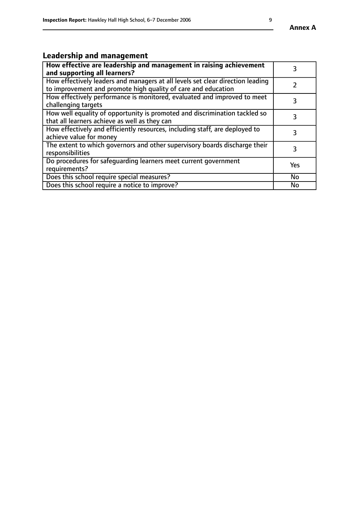# **Leadership and management**

| How effective are leadership and management in raising achievement<br>and supporting all learners?                                              |           |
|-------------------------------------------------------------------------------------------------------------------------------------------------|-----------|
| How effectively leaders and managers at all levels set clear direction leading<br>to improvement and promote high quality of care and education |           |
| How effectively performance is monitored, evaluated and improved to meet<br>challenging targets                                                 | 3         |
| How well equality of opportunity is promoted and discrimination tackled so<br>that all learners achieve as well as they can                     | 3         |
| How effectively and efficiently resources, including staff, are deployed to<br>achieve value for money                                          | 3         |
| The extent to which governors and other supervisory boards discharge their<br>responsibilities                                                  | 3         |
| Do procedures for safequarding learners meet current government<br>requirements?                                                                | Yes       |
| Does this school require special measures?                                                                                                      | No        |
| Does this school require a notice to improve?                                                                                                   | <b>No</b> |